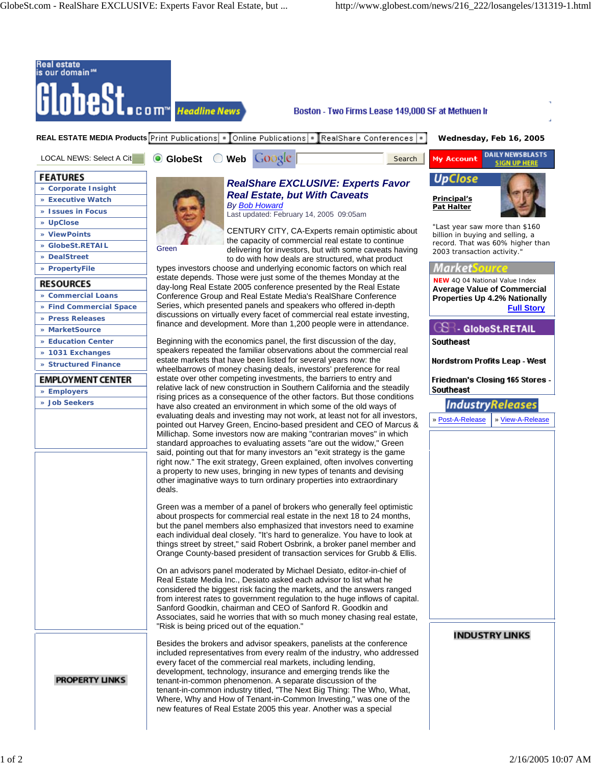